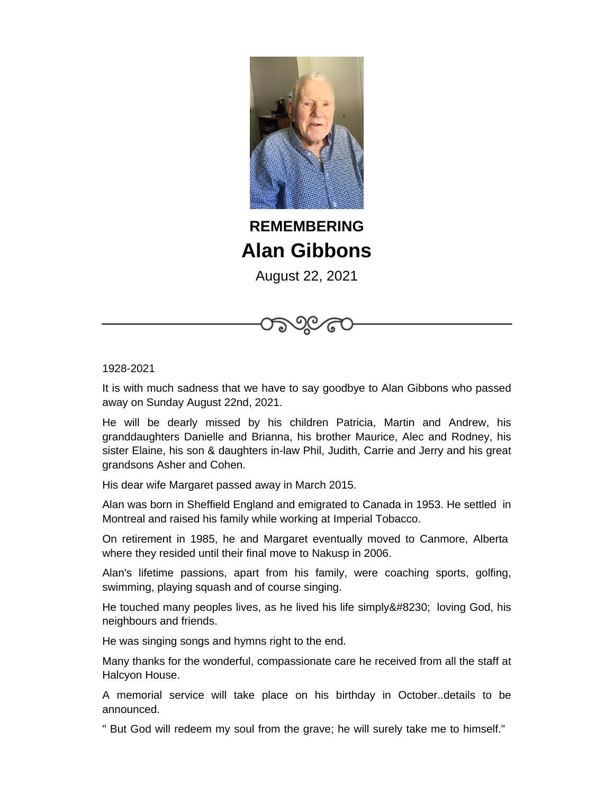

**REMEMBERING Alan Gibbons**

August 22, 2021

1928-2021

It is with much sadness that we have to say goodbye to Alan Gibbons who passed away on Sunday August 22nd, 2021.

He will be dearly missed by his children Patricia, Martin and Andrew, his granddaughters Danielle and Brianna, his brother Maurice, Alec and Rodney, his sister Elaine, his son & daughters in-law Phil, Judith, Carrie and Jerry and his great grandsons Asher and Cohen.

His dear wife Margaret passed away in March 2015.

Alan was born in Sheffield England and emigrated to Canada in 1953. He settled in Montreal and raised his family while working at Imperial Tobacco.

On retirement in 1985, he and Margaret eventually moved to Canmore, Alberta where they resided until their final move to Nakusp in 2006.

Alan's lifetime passions, apart from his family, were coaching sports, golfing, swimming, playing squash and of course singing.

He touched many peoples lives, as he lived his life simply… loving God, his neighbours and friends.

He was singing songs and hymns right to the end.

Many thanks for the wonderful, compassionate care he received from all the staff at Halcyon House.

A memorial service will take place on his birthday in October..details to be announced.

" But God will redeem my soul from the grave; he will surely take me to himself."